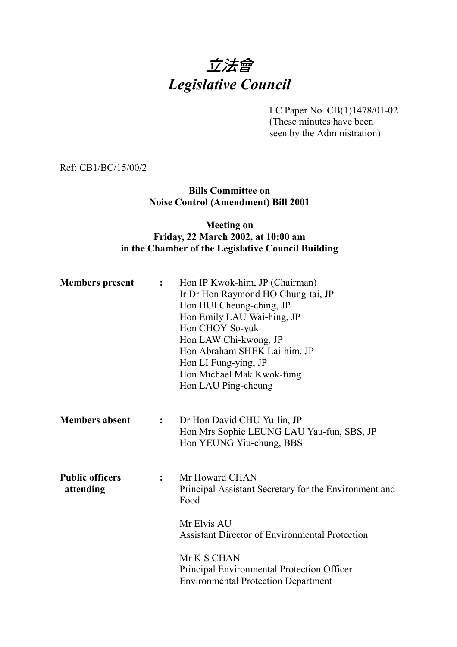# 立法會 *Legislative Council*

LC Paper No. CB(1)1478/01-02 (These minutes have been seen by the Administration)

Ref: CB1/BC/15/00/2

**Bills Committee on Noise Control (Amendment) Bill 2001**

## **Meeting on Friday, 22 March 2002, at 10:00 am in the Chamber of the Legislative Council Building**

| <b>Members</b> present              | $\ddot{\cdot}$ | Hon IP Kwok-him, JP (Chairman)<br>Ir Dr Hon Raymond HO Chung-tai, JP<br>Hon HUI Cheung-ching, JP<br>Hon Emily LAU Wai-hing, JP<br>Hon CHOY So-yuk<br>Hon LAW Chi-kwong, JP<br>Hon Abraham SHEK Lai-him, JP<br>Hon LI Fung-ying, JP<br>Hon Michael Mak Kwok-fung<br>Hon LAU Ping-cheung |
|-------------------------------------|----------------|----------------------------------------------------------------------------------------------------------------------------------------------------------------------------------------------------------------------------------------------------------------------------------------|
| <b>Members absent</b>               | $\ddot{\cdot}$ | Dr Hon David CHU Yu-lin, JP<br>Hon Mrs Sophie LEUNG LAU Yau-fun, SBS, JP<br>Hon YEUNG Yiu-chung, BBS                                                                                                                                                                                   |
| <b>Public officers</b><br>attending | $\ddot{\cdot}$ | Mr Howard CHAN<br>Principal Assistant Secretary for the Environment and<br>Food<br>Mr Elvis AU                                                                                                                                                                                         |
|                                     |                | <b>Assistant Director of Environmental Protection</b>                                                                                                                                                                                                                                  |
|                                     |                | Mr K S CHAN<br>Principal Environmental Protection Officer<br><b>Environmental Protection Department</b>                                                                                                                                                                                |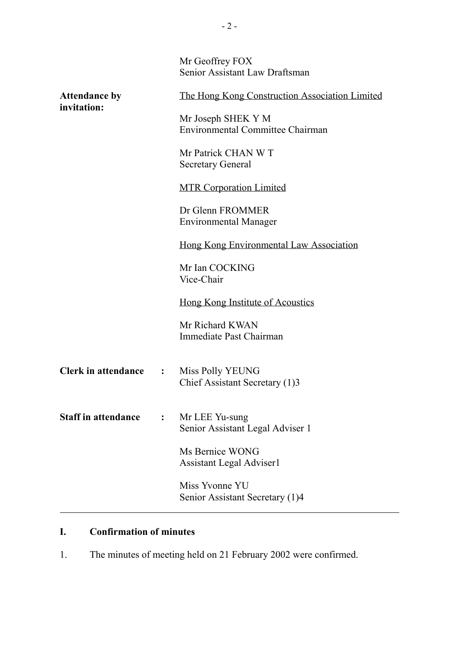|                                     |                | Mr Geoffrey FOX<br>Senior Assistant Law Draftsman             |
|-------------------------------------|----------------|---------------------------------------------------------------|
| <b>Attendance by</b><br>invitation: |                | The Hong Kong Construction Association Limited                |
|                                     |                | Mr Joseph SHEK Y M<br><b>Environmental Committee Chairman</b> |
|                                     |                | Mr Patrick CHAN W T<br><b>Secretary General</b>               |
|                                     |                | <b>MTR Corporation Limited</b>                                |
|                                     |                | Dr Glenn FROMMER<br><b>Environmental Manager</b>              |
|                                     |                | Hong Kong Environmental Law Association                       |
|                                     |                | Mr Ian COCKING<br>Vice-Chair                                  |
|                                     |                | <u>Hong Kong Institute of Acoustics</u>                       |
|                                     |                | Mr Richard KWAN<br>Immediate Past Chairman                    |
| <b>Clerk in attendance</b>          | $\ddot{\cdot}$ | Miss Polly YEUNG<br>Chief Assistant Secretary (1)3            |
| <b>Staff in attendance</b>          | $\ddot{\cdot}$ | Mr LEE Yu-sung<br>Senior Assistant Legal Adviser 1            |
|                                     |                | Ms Bernice WONG<br><b>Assistant Legal Adviser1</b>            |
|                                     |                | Miss Yvonne YU<br>Senior Assistant Secretary (1)4             |

# **I. Confirmation of minutes**

1. The minutes of meeting held on 21 February 2002 were confirmed.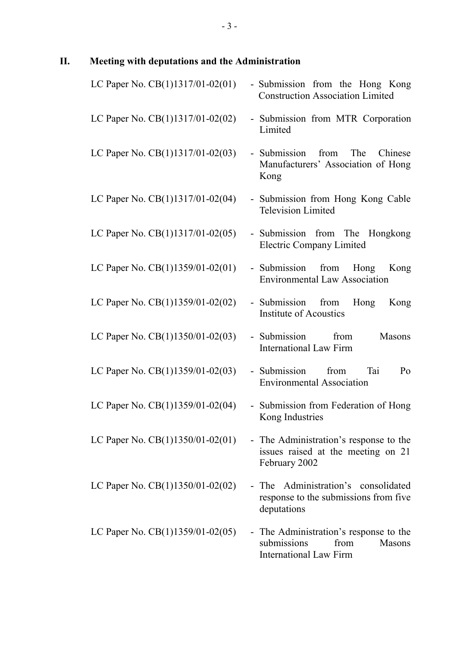# **II. Meeting with deputations and the Administration**

| LC Paper No. CB(1)1317/01-02(01)   | - Submission from the Hong Kong<br><b>Construction Association Limited</b>                               |
|------------------------------------|----------------------------------------------------------------------------------------------------------|
| LC Paper No. $CB(1)1317/01-02(02)$ | - Submission from MTR Corporation<br>Limited                                                             |
| LC Paper No. CB(1)1317/01-02(03)   | The<br>- Submission from<br>Chinese<br>Manufacturers' Association of Hong<br>Kong                        |
| LC Paper No. CB(1)1317/01-02(04)   | - Submission from Hong Kong Cable<br><b>Television Limited</b>                                           |
| LC Paper No. CB(1)1317/01-02(05)   | - Submission from The Hongkong<br><b>Electric Company Limited</b>                                        |
| LC Paper No. CB(1)1359/01-02(01)   | - Submission from Hong<br>Kong<br><b>Environmental Law Association</b>                                   |
| LC Paper No. $CB(1)1359/01-02(02)$ | - Submission from<br>Hong<br>Kong<br><b>Institute of Acoustics</b>                                       |
| LC Paper No. CB(1)1350/01-02(03)   | Masons<br>- Submission from<br><b>International Law Firm</b>                                             |
| LC Paper No. CB(1)1359/01-02(03)   | - Submission from<br>Tai<br>Po<br><b>Environmental Association</b>                                       |
| LC Paper No. CB(1)1359/01-02(04)   | Submission from Federation of Hong<br>Kong Industries                                                    |
| LC Paper No. $CB(1)1350/01-02(01)$ | - The Administration's response to the<br>issues raised at the meeting on 21<br>February 2002            |
| LC Paper No. $CB(1)1350/01-02(02)$ | - The Administration's consolidated<br>response to the submissions from five<br>deputations              |
| LC Paper No. $CB(1)1359/01-02(05)$ | - The Administration's response to the<br>submissions<br>Masons<br>from<br><b>International Law Firm</b> |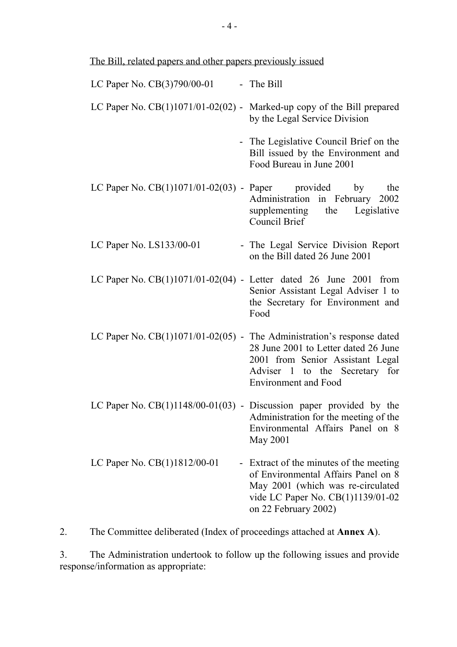| LC Paper No. CB(3)790/00-01                                              | - The Bill                                                                                                                                                                       |
|--------------------------------------------------------------------------|----------------------------------------------------------------------------------------------------------------------------------------------------------------------------------|
| LC Paper No. $CB(1)1071/01-02(02)$ - Marked-up copy of the Bill prepared | by the Legal Service Division                                                                                                                                                    |
|                                                                          | - The Legislative Council Brief on the<br>Bill issued by the Environment and<br>Food Bureau in June 2001                                                                         |
| LC Paper No. $CB(1)1071/01-02(03)$ - Paper provided by                   | the<br>Administration in February 2002<br>supplementing the Legislative<br>Council Brief                                                                                         |
| LC Paper No. $LS133/00-01$                                               | - The Legal Service Division Report<br>on the Bill dated 26 June 2001                                                                                                            |
| LC Paper No. $CB(1)1071/01-02(04)$ - Letter dated 26 June 2001 from      | Senior Assistant Legal Adviser 1 to<br>the Secretary for Environment and<br>Food                                                                                                 |
| LC Paper No. $CB(1)1071/01-02(05)$ - The Administration's response dated | 28 June 2001 to Letter dated 26 June<br>2001 from Senior Assistant Legal<br>Adviser 1 to the Secretary for<br><b>Environment</b> and Food                                        |
| LC Paper No. $CB(1)1148/00-01(03)$ - Discussion paper provided by the    | Administration for the meeting of the<br>Environmental Affairs Panel on 8<br>May 2001                                                                                            |
| LC Paper No. CB(1)1812/00-01                                             | - Extract of the minutes of the meeting<br>of Environmental Affairs Panel on 8<br>May 2001 (which was re-circulated<br>vide LC Paper No. CB(1)1139/01-02<br>on 22 February 2002) |

2. The Committee deliberated (Index of proceedings attached at **Annex A**).

3. The Administration undertook to follow up the following issues and provide response/information as appropriate: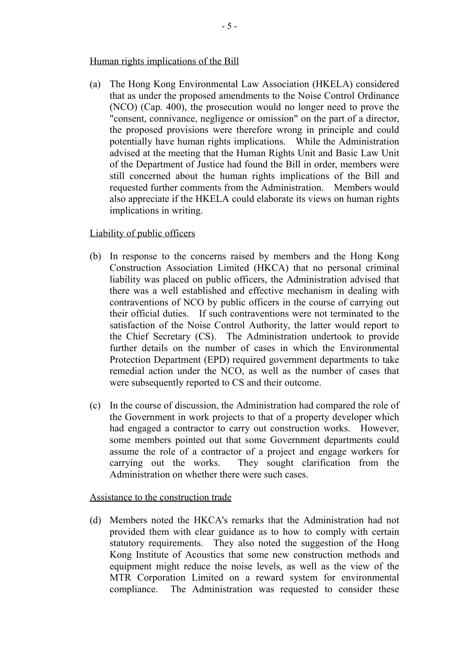#### Human rights implications of the Bill

(a) The Hong Kong Environmental Law Association (HKELA) considered that as under the proposed amendments to the Noise Control Ordinance (NCO) (Cap. 400), the prosecution would no longer need to prove the "consent, connivance, negligence or omission" on the part of a director, the proposed provisions were therefore wrong in principle and could potentially have human rights implications. While the Administration advised at the meeting that the Human Rights Unit and Basic Law Unit of the Department of Justice had found the Bill in order, members were still concerned about the human rights implications of the Bill and requested further comments from the Administration. Members would also appreciate if the HKELA could elaborate its views on human rights implications in writing.

#### Liability of public officers

- (b) In response to the concerns raised by members and the Hong Kong Construction Association Limited (HKCA) that no personal criminal liability was placed on public officers, the Administration advised that there was a well established and effective mechanism in dealing with contraventions of NCO by public officers in the course of carrying out their official duties. If such contraventions were not terminated to the satisfaction of the Noise Control Authority, the latter would report to the Chief Secretary (CS). The Administration undertook to provide further details on the number of cases in which the Environmental Protection Department (EPD) required government departments to take remedial action under the NCO, as well as the number of cases that were subsequently reported to CS and their outcome.
- (c) In the course of discussion, the Administration had compared the role of the Government in work projects to that of a property developer which had engaged a contractor to carry out construction works. However, some members pointed out that some Government departments could assume the role of a contractor of a project and engage workers for carrying out the works. They sought clarification from the Administration on whether there were such cases.

#### Assistance to the construction trade

(d) Members noted the HKCA's remarks that the Administration had not provided them with clear guidance as to how to comply with certain statutory requirements. They also noted the suggestion of the Hong Kong Institute of Acoustics that some new construction methods and equipment might reduce the noise levels, as well as the view of the MTR Corporation Limited on a reward system for environmental compliance. The Administration was requested to consider these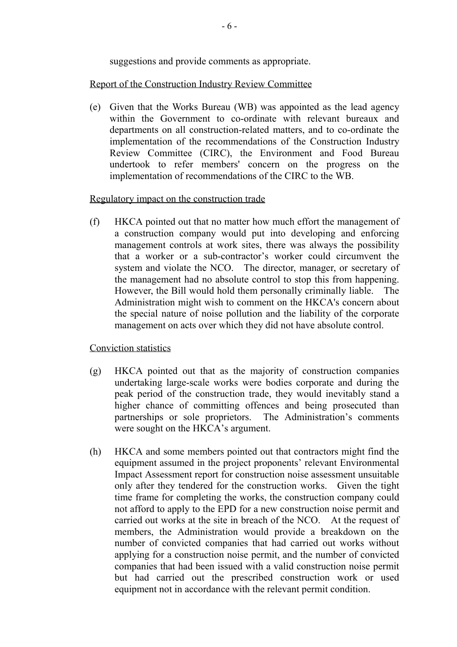suggestions and provide comments as appropriate.

#### Report of the Construction Industry Review Committee

(e) Given that the Works Bureau (WB) was appointed as the lead agency within the Government to co-ordinate with relevant bureaux and departments on all construction-related matters, and to co-ordinate the implementation of the recommendations of the Construction Industry Review Committee (CIRC), the Environment and Food Bureau undertook to refer members' concern on the progress on the implementation of recommendations of the CIRC to the WB.

#### Regulatory impact on the construction trade

(f) HKCA pointed out that no matter how much effort the management of a construction company would put into developing and enforcing management controls at work sites, there was always the possibility that a worker or a sub-contractor's worker could circumvent the system and violate the NCO. The director, manager, or secretary of the management had no absolute control to stop this from happening. However, the Bill would hold them personally criminally liable. The Administration might wish to comment on the HKCA's concern about the special nature of noise pollution and the liability of the corporate management on acts over which they did not have absolute control.

Conviction statistics

- (g) HKCA pointed out that as the majority of construction companies undertaking large-scale works were bodies corporate and during the peak period of the construction trade, they would inevitably stand a higher chance of committing offences and being prosecuted than partnerships or sole proprietors. The Administration's comments were sought on the HKCA's argument.
- (h) HKCA and some members pointed out that contractors might find the equipment assumed in the project proponents' relevant Environmental Impact Assessment report for construction noise assessment unsuitable only after they tendered for the construction works. Given the tight time frame for completing the works, the construction company could not afford to apply to the EPD for a new construction noise permit and carried out works at the site in breach of the NCO. At the request of members, the Administration would provide a breakdown on the number of convicted companies that had carried out works without applying for a construction noise permit, and the number of convicted companies that had been issued with a valid construction noise permit but had carried out the prescribed construction work or used equipment not in accordance with the relevant permit condition.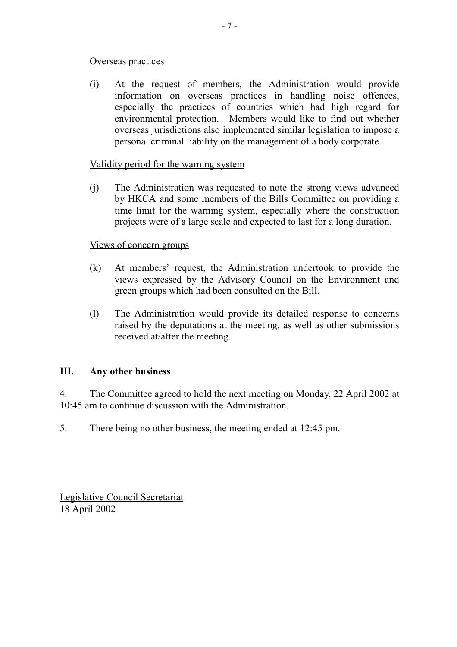#### Overseas practices

(i) At the request of members, the Administration would provide information on overseas practices in handling noise offences, especially the practices of countries which had high regard for environmental protection. Members would like to find out whether overseas jurisdictions also implemented similar legislation to impose a personal criminal liability on the management of a body corporate.

## Validity period for the warning system

(j) The Administration was requested to note the strong views advanced by HKCA and some members of the Bills Committee on providing a time limit for the warning system, especially where the construction projects were of a large scale and expected to last for a long duration.

#### Views of concern groups

- (k) At members' request, the Administration undertook to provide the views expressed by the Advisory Council on the Environment and green groups which had been consulted on the Bill.
- (l) The Administration would provide its detailed response to concerns raised by the deputations at the meeting, as well as other submissions received at/after the meeting.

# **III. Any other business**

4. The Committee agreed to hold the next meeting on Monday, 22 April 2002 at 10:45 am to continue discussion with the Administration.

5. There being no other business, the meeting ended at 12:45 pm.

Legislative Council Secretariat 18 April 2002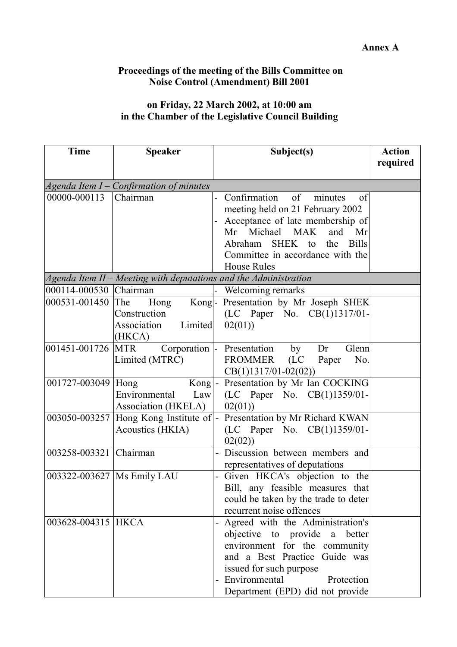## **Proceedings of the meeting of the Bills Committee on Noise Control (Amendment) Bill 2001**

# **on Friday, 22 March 2002, at 10:00 am in the Chamber of the Legislative Council Building**

| <b>Time</b>            | <b>Speaker</b>                                                      | Subject(s)                                | <b>Action</b> |
|------------------------|---------------------------------------------------------------------|-------------------------------------------|---------------|
|                        |                                                                     |                                           | required      |
|                        | Agenda Item $I$ – Confirmation of minutes                           |                                           |               |
| 00000-000113           | Chairman                                                            | Confirmation<br>of<br>minutes<br>of       |               |
|                        |                                                                     | meeting held on 21 February 2002          |               |
|                        |                                                                     | Acceptance of late membership of          |               |
|                        |                                                                     | Mr Michael MAK<br>and<br>Mr               |               |
|                        |                                                                     | SHEK to<br><b>Bills</b><br>Abraham<br>the |               |
|                        |                                                                     | Committee in accordance with the          |               |
|                        |                                                                     | <b>House Rules</b>                        |               |
|                        | $A$ genda Item II – Meeting with deputations and the Administration |                                           |               |
| 000114-000530 Chairman |                                                                     | Welcoming remarks                         |               |
| 000531-001450          | <b>The</b><br>Hong                                                  | Kong- Presentation by Mr Joseph SHEK      |               |
|                        | Construction                                                        | (LC Paper No. CB(1)1317/01-               |               |
|                        | Association<br>Limited                                              | 02(01)                                    |               |
|                        | (HKCA)                                                              |                                           |               |
| 001451-001726          | <b>MTR</b><br>Corporation  -                                        | Presentation<br>Glenn<br>Dr<br>by         |               |
|                        | Limited (MTRC)                                                      | FROMMER<br>(LC)<br>No.<br>Paper           |               |
|                        |                                                                     | $CB(1)1317/01-02(02))$                    |               |
| 001727-003049 Hong     | $Kong$ -                                                            | Presentation by Mr Ian COCKING            |               |
|                        | Environmental<br>Law                                                | (LC Paper No. CB(1)1359/01-               |               |
|                        | Association (HKELA)                                                 | 02(01)                                    |               |
|                        | 003050-003257 Hong Kong Institute of $\vert$ -                      | Presentation by Mr Richard KWAN           |               |
|                        | Acoustics (HKIA)                                                    | (LC Paper No. CB(1)1359/01-               |               |
|                        |                                                                     | 02(02)                                    |               |
| 003258-003321 Chairman |                                                                     | Discussion between members and            |               |
|                        |                                                                     | representatives of deputations            |               |
|                        | 003322-003627   Ms Emily LAU                                        | Given HKCA's objection to the             |               |
|                        |                                                                     | Bill, any feasible measures that          |               |
|                        |                                                                     | could be taken by the trade to deter      |               |
|                        |                                                                     | recurrent noise offences                  |               |
| 003628-004315 HKCA     |                                                                     | Agreed with the Administration's          |               |
|                        |                                                                     | objective to provide a better             |               |
|                        |                                                                     | environment for the community             |               |
|                        |                                                                     | and a Best Practice Guide was             |               |
|                        |                                                                     | issued for such purpose                   |               |
|                        |                                                                     | Environmental<br>Protection               |               |
|                        |                                                                     | Department (EPD) did not provide          |               |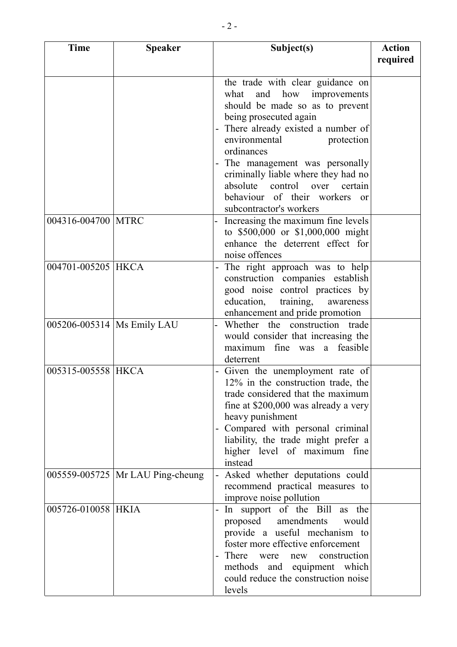| <b>Time</b>        | <b>Speaker</b>                     | Subject(s)                                                                                                                                                                                                                                                                                 | <b>Action</b> |
|--------------------|------------------------------------|--------------------------------------------------------------------------------------------------------------------------------------------------------------------------------------------------------------------------------------------------------------------------------------------|---------------|
|                    |                                    |                                                                                                                                                                                                                                                                                            | required      |
|                    |                                    | the trade with clear guidance on<br>and how improvements<br>what<br>should be made so as to prevent<br>being prosecuted again<br>There already existed a number of<br>environmental<br>protection<br>ordinances                                                                            |               |
|                    |                                    | The management was personally<br>criminally liable where they had no<br>absolute control over<br>certain<br>behaviour of their workers<br>$\alpha$<br>subcontractor's workers                                                                                                              |               |
| 004316-004700 MTRC |                                    | Increasing the maximum fine levels<br>to \$500,000 or \$1,000,000 might<br>enhance the deterrent effect for<br>noise offences                                                                                                                                                              |               |
| 004701-005205 HKCA |                                    | The right approach was to help<br>construction companies establish<br>good noise control practices by<br>education, training, awareness<br>enhancement and pride promotion                                                                                                                 |               |
|                    | 005206-005314   Ms Emily LAU       | Whether the construction trade<br>would consider that increasing the<br>maximum fine was a feasible<br>deterrent                                                                                                                                                                           |               |
| 005315-005558 HKCA |                                    | Given the unemployment rate of<br>12% in the construction trade, the<br>trade considered that the maximum<br>fine at \$200,000 was already a very<br>heavy punishment<br>Compared with personal criminal<br>liability, the trade might prefer a<br>higher level of maximum fine<br>instead |               |
|                    | 005559-005725   Mr LAU Ping-cheung | Asked whether deputations could<br>$\blacksquare$<br>recommend practical measures to<br>improve noise pollution                                                                                                                                                                            |               |
| 005726-010058 HKIA |                                    | In support of the Bill as the<br>proposed amendments<br>would<br>provide a useful mechanism to<br>foster more effective enforcement<br>There were<br>new construction<br>methods and equipment which<br>could reduce the construction noise<br>levels                                      |               |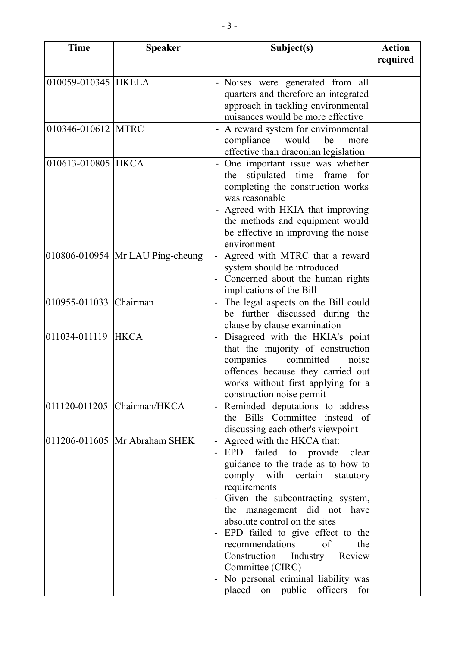| <b>Time</b>            | <b>Speaker</b>                       | Subject(s)                                                             | <b>Action</b> |
|------------------------|--------------------------------------|------------------------------------------------------------------------|---------------|
|                        |                                      |                                                                        | required      |
| 010059-010345 HKELA    |                                      | Noises were generated from all                                         |               |
|                        |                                      | quarters and therefore an integrated                                   |               |
|                        |                                      | approach in tackling environmental                                     |               |
|                        |                                      | nuisances would be more effective                                      |               |
| 010346-010612 MTRC     |                                      | A reward system for environmental                                      |               |
|                        |                                      | compliance<br>would<br>be<br>more                                      |               |
|                        |                                      | effective than draconian legislation                                   |               |
| 010613-010805 HKCA     |                                      | One important issue was whether                                        |               |
|                        |                                      | stipulated time frame<br>for<br>the                                    |               |
|                        |                                      | completing the construction works                                      |               |
|                        |                                      | was reasonable                                                         |               |
|                        |                                      | Agreed with HKIA that improving                                        |               |
|                        |                                      | the methods and equipment would                                        |               |
|                        |                                      | be effective in improving the noise                                    |               |
|                        |                                      | environment                                                            |               |
|                        | $010806 - 010954$ Mr LAU Ping-cheung | Agreed with MTRC that a reward                                         |               |
|                        |                                      | system should be introduced                                            |               |
|                        |                                      | Concerned about the human rights                                       |               |
| 010955-011033 Chairman |                                      | implications of the Bill                                               |               |
|                        |                                      | The legal aspects on the Bill could<br>be further discussed during the |               |
|                        |                                      | clause by clause examination                                           |               |
| 011034-011119          | <b>HKCA</b>                          | Disagreed with the HKIA's point                                        |               |
|                        |                                      | that the majority of construction                                      |               |
|                        |                                      | companies<br>committed<br>noise                                        |               |
|                        |                                      | offences because they carried out                                      |               |
|                        |                                      | works without first applying for a                                     |               |
|                        |                                      | construction noise permit                                              |               |
|                        | 011120-011205 Chairman/HKCA          | Reminded deputations to address                                        |               |
|                        |                                      | the Bills Committee instead of                                         |               |
|                        |                                      | discussing each other's viewpoint                                      |               |
|                        | 011206-011605   Mr Abraham SHEK      | Agreed with the HKCA that:                                             |               |
|                        |                                      | EPD failed to provide clear                                            |               |
|                        |                                      | guidance to the trade as to how to                                     |               |
|                        |                                      | comply with certain statutory                                          |               |
|                        |                                      | requirements                                                           |               |
|                        |                                      | Given the subcontracting system,                                       |               |
|                        |                                      | the management did not have<br>absolute control on the sites           |               |
|                        |                                      | EPD failed to give effect to the                                       |               |
|                        |                                      | recommendations<br>of<br>the                                           |               |
|                        |                                      | Construction Industry Review                                           |               |
|                        |                                      | Committee (CIRC)                                                       |               |
|                        |                                      | No personal criminal liability was                                     |               |
|                        |                                      | placed on public officers for                                          |               |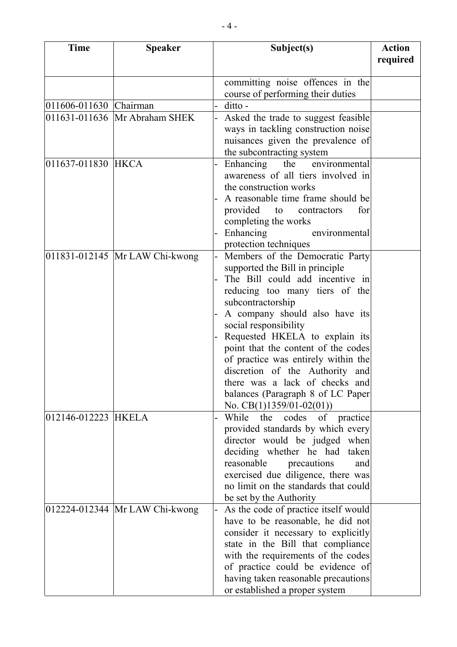| <b>Time</b>            | <b>Speaker</b>                 | Subject(s)                                                            | <b>Action</b> |
|------------------------|--------------------------------|-----------------------------------------------------------------------|---------------|
|                        |                                |                                                                       | required      |
|                        |                                | committing noise offences in the                                      |               |
|                        |                                | course of performing their duties                                     |               |
| 011606-011630 Chairman |                                | ditto -                                                               |               |
|                        | 011631-011636 Mr Abraham SHEK  | Asked the trade to suggest feasible                                   |               |
|                        |                                | ways in tackling construction noise                                   |               |
|                        |                                | nuisances given the prevalence of                                     |               |
|                        |                                | the subcontracting system                                             |               |
| 011637-011830 HKCA     |                                | Enhancing the environmental                                           |               |
|                        |                                | awareness of all tiers involved in                                    |               |
|                        |                                | the construction works                                                |               |
|                        |                                | A reasonable time frame should be                                     |               |
|                        |                                | provided to contractors<br>for                                        |               |
|                        |                                | completing the works                                                  |               |
|                        |                                | Enhancing<br>environmental                                            |               |
|                        |                                | protection techniques                                                 |               |
|                        | 011831-012145 Mr LAW Chi-kwong | Members of the Democratic Party                                       |               |
|                        |                                | supported the Bill in principle                                       |               |
|                        |                                | The Bill could add incentive in                                       |               |
|                        |                                | reducing too many tiers of the                                        |               |
|                        |                                | subcontractorship                                                     |               |
|                        |                                | A company should also have its                                        |               |
|                        |                                | social responsibility                                                 |               |
|                        |                                | Requested HKELA to explain its<br>point that the content of the codes |               |
|                        |                                | of practice was entirely within the                                   |               |
|                        |                                | discretion of the Authority and                                       |               |
|                        |                                | there was a lack of checks and                                        |               |
|                        |                                | balances (Paragraph 8 of LC Paper)                                    |               |
|                        |                                | No. $CB(1)1359/01-02(01))$                                            |               |
| 012146-012223 HKELA    |                                | While the codes of practice                                           |               |
|                        |                                | provided standards by which every                                     |               |
|                        |                                | director would be judged when                                         |               |
|                        |                                | deciding whether he had taken                                         |               |
|                        |                                | reasonable<br>precautions<br>and                                      |               |
|                        |                                | exercised due diligence, there was                                    |               |
|                        |                                | no limit on the standards that could                                  |               |
|                        |                                | be set by the Authority                                               |               |
|                        | 012224-012344 Mr LAW Chi-kwong | As the code of practice itself would                                  |               |
|                        |                                | have to be reasonable, he did not                                     |               |
|                        |                                | consider it necessary to explicitly                                   |               |
|                        |                                | state in the Bill that compliance                                     |               |
|                        |                                | with the requirements of the codes                                    |               |
|                        |                                | of practice could be evidence of                                      |               |
|                        |                                | having taken reasonable precautions                                   |               |
|                        |                                | or established a proper system                                        |               |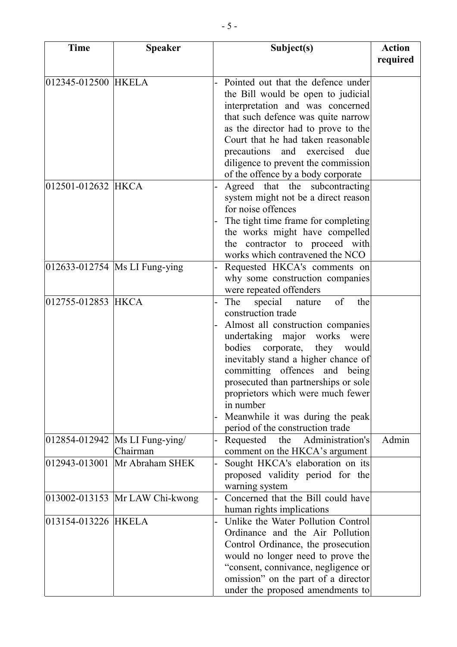| <b>Time</b>         | <b>Speaker</b>                               | Subject(s)                                                         | <b>Action</b> |
|---------------------|----------------------------------------------|--------------------------------------------------------------------|---------------|
|                     |                                              |                                                                    | required      |
| 012345-012500 HKELA |                                              | Pointed out that the defence under                                 |               |
|                     |                                              | the Bill would be open to judicial                                 |               |
|                     |                                              | interpretation and was concerned                                   |               |
|                     |                                              | that such defence was quite narrow                                 |               |
|                     |                                              | as the director had to prove to the                                |               |
|                     |                                              | Court that he had taken reasonable                                 |               |
|                     |                                              | precautions<br>and exercised<br>due                                |               |
|                     |                                              | diligence to prevent the commission                                |               |
|                     |                                              | of the offence by a body corporate                                 |               |
| 012501-012632 HKCA  |                                              | Agreed that the subcontracting                                     |               |
|                     |                                              | system might not be a direct reason                                |               |
|                     |                                              | for noise offences                                                 |               |
|                     |                                              | The tight time frame for completing                                |               |
|                     |                                              | the works might have compelled                                     |               |
|                     |                                              | the contractor to proceed with                                     |               |
|                     |                                              | works which contravened the NCO                                    |               |
|                     | 012633-012754   Ms LI Fung-ying              | Requested HKCA's comments on                                       |               |
|                     |                                              | why some construction companies                                    |               |
|                     |                                              | were repeated offenders                                            |               |
| 012755-012853 HKCA  |                                              | of<br>The<br>special nature<br>the                                 |               |
|                     |                                              | construction trade                                                 |               |
|                     |                                              | Almost all construction companies                                  |               |
|                     |                                              | undertaking major<br>works<br>were                                 |               |
|                     |                                              | bodies corporate, they<br>would                                    |               |
|                     |                                              | inevitably stand a higher chance of                                |               |
|                     |                                              | committing offences and being                                      |               |
|                     |                                              | prosecuted than partnerships or sole                               |               |
|                     |                                              | proprietors which were much fewer                                  |               |
|                     |                                              | in number                                                          |               |
|                     |                                              | Meanwhile it was during the peak                                   |               |
|                     |                                              | period of the construction trade<br>Administration's               |               |
|                     | 012854-012942   Ms LI Fung-ying/<br>Chairman | Requested<br>the                                                   | Admin         |
|                     | 012943-013001 Mr Abraham SHEK                | comment on the HKCA's argument<br>Sought HKCA's elaboration on its |               |
|                     |                                              | proposed validity period for the                                   |               |
|                     |                                              | warning system                                                     |               |
|                     | 013002-013153 Mr LAW Chi-kwong               | Concerned that the Bill could have                                 |               |
|                     |                                              | human rights implications                                          |               |
| 013154-013226 HKELA |                                              | Unlike the Water Pollution Control                                 |               |
|                     |                                              | Ordinance and the Air Pollution                                    |               |
|                     |                                              | Control Ordinance, the prosecution                                 |               |
|                     |                                              | would no longer need to prove the                                  |               |
|                     |                                              | "consent, connivance, negligence or                                |               |
|                     |                                              | omission" on the part of a director                                |               |
|                     |                                              | under the proposed amendments to                                   |               |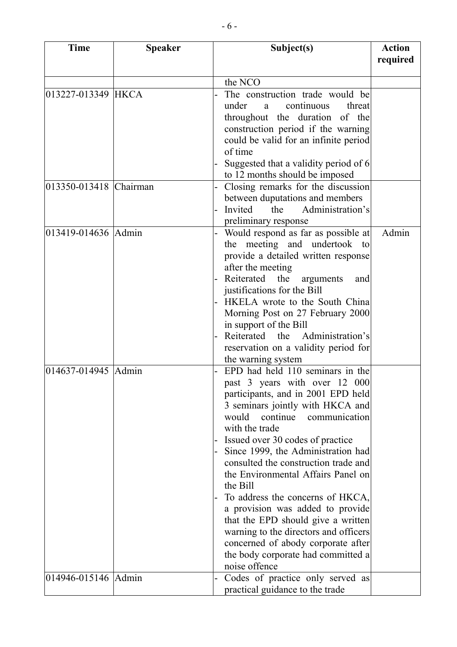| <b>Time</b>            | <b>Speaker</b> | Subject(s)                                                                                                                                                                                                                                                                                                                                                                                                                                                                                                                                                                                                               | <b>Action</b> |
|------------------------|----------------|--------------------------------------------------------------------------------------------------------------------------------------------------------------------------------------------------------------------------------------------------------------------------------------------------------------------------------------------------------------------------------------------------------------------------------------------------------------------------------------------------------------------------------------------------------------------------------------------------------------------------|---------------|
|                        |                |                                                                                                                                                                                                                                                                                                                                                                                                                                                                                                                                                                                                                          | required      |
|                        |                | the NCO                                                                                                                                                                                                                                                                                                                                                                                                                                                                                                                                                                                                                  |               |
| 013227-013349 HKCA     |                | The construction trade would be<br>under<br>continuous<br>threat<br>a<br>throughout the duration of the<br>construction period if the warning<br>could be valid for an infinite period<br>of time<br>Suggested that a validity period of 6                                                                                                                                                                                                                                                                                                                                                                               |               |
|                        |                | to 12 months should be imposed                                                                                                                                                                                                                                                                                                                                                                                                                                                                                                                                                                                           |               |
| 013350-013418 Chairman |                | Closing remarks for the discussion<br>between duputations and members<br>the Administration's<br>Invited<br>preliminary response                                                                                                                                                                                                                                                                                                                                                                                                                                                                                         |               |
| 013419-014636 Admin    |                | Would respond as far as possible at<br>the meeting and undertook to<br>provide a detailed written response<br>after the meeting<br>Reiterated the<br>arguments<br>and<br>justifications for the Bill<br>HKELA wrote to the South China<br>Morning Post on 27 February 2000<br>in support of the Bill<br>Reiterated the<br>Administration's<br>reservation on a validity period for<br>the warning system                                                                                                                                                                                                                 | Admin         |
| 014637-014945 Admin    |                | EPD had held 110 seminars in the<br>past 3 years with over 12 000<br>participants, and in 2001 EPD held<br>3 seminars jointly with HKCA and<br>would continue<br>communication<br>with the trade<br>Issued over 30 codes of practice<br>Since 1999, the Administration had<br>consulted the construction trade and<br>the Environmental Affairs Panel on<br>the Bill<br>To address the concerns of HKCA,<br>a provision was added to provide<br>that the EPD should give a written<br>warning to the directors and officers<br>concerned of abody corporate after<br>the body corporate had committed a<br>noise offence |               |
| 014946-015146 Admin    |                | Codes of practice only served as<br>practical guidance to the trade                                                                                                                                                                                                                                                                                                                                                                                                                                                                                                                                                      |               |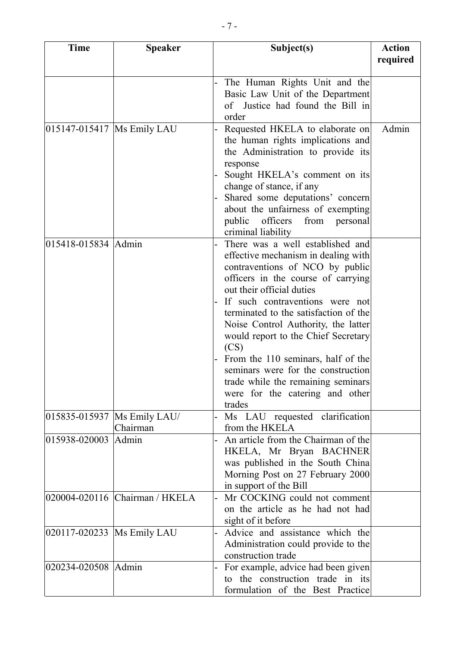| <b>Time</b>                  | <b>Speaker</b>                 | Subject(s)                                                               | <b>Action</b> |
|------------------------------|--------------------------------|--------------------------------------------------------------------------|---------------|
|                              |                                |                                                                          | required      |
|                              |                                | The Human Rights Unit and the<br>Basic Law Unit of the Department        |               |
|                              |                                | of Justice had found the Bill in<br>order                                |               |
| 015147-015417   Ms Emily LAU |                                | Requested HKELA to elaborate on                                          | Admin         |
|                              |                                | the human rights implications and                                        |               |
|                              |                                | the Administration to provide its<br>response                            |               |
|                              |                                | Sought HKELA's comment on its                                            |               |
|                              |                                | change of stance, if any                                                 |               |
|                              |                                | Shared some deputations' concern<br>about the unfairness of exempting    |               |
|                              |                                | public<br>officers<br>from<br>personal                                   |               |
|                              |                                | criminal liability                                                       |               |
| 015418-015834 Admin          |                                | There was a well established and                                         |               |
|                              |                                | effective mechanism in dealing with                                      |               |
|                              |                                | contraventions of NCO by public                                          |               |
|                              |                                | officers in the course of carrying                                       |               |
|                              |                                | out their official duties                                                |               |
|                              |                                | If such contraventions were not                                          |               |
|                              |                                | terminated to the satisfaction of the                                    |               |
|                              |                                | Noise Control Authority, the latter                                      |               |
|                              |                                | would report to the Chief Secretary                                      |               |
|                              |                                | (CS)                                                                     |               |
|                              |                                | From the 110 seminars, half of the<br>seminars were for the construction |               |
|                              |                                | trade while the remaining seminars                                       |               |
|                              |                                | were for the catering and other                                          |               |
|                              |                                | trades                                                                   |               |
|                              | 015835-015937   Ms Emily LAU/  | Ms LAU requested clarification                                           |               |
|                              | Chairman                       | from the HKELA                                                           |               |
| 015938-020003 Admin          |                                | An article from the Chairman of the                                      |               |
|                              |                                | HKELA, Mr Bryan BACHNER                                                  |               |
|                              |                                | was published in the South China                                         |               |
|                              |                                | Morning Post on 27 February 2000                                         |               |
|                              |                                | in support of the Bill                                                   |               |
|                              | 020004-020116 Chairman / HKELA | Mr COCKING could not comment                                             |               |
|                              |                                | on the article as he had not had                                         |               |
| 020117-020233  Ms Emily LAU  |                                | sight of it before<br>Advice and assistance which the                    |               |
|                              |                                | Administration could provide to the                                      |               |
|                              |                                | construction trade                                                       |               |
| 020234-020508 Admin          |                                | For example, advice had been given                                       |               |
|                              |                                | to the construction trade in its                                         |               |
|                              |                                | formulation of the Best Practice                                         |               |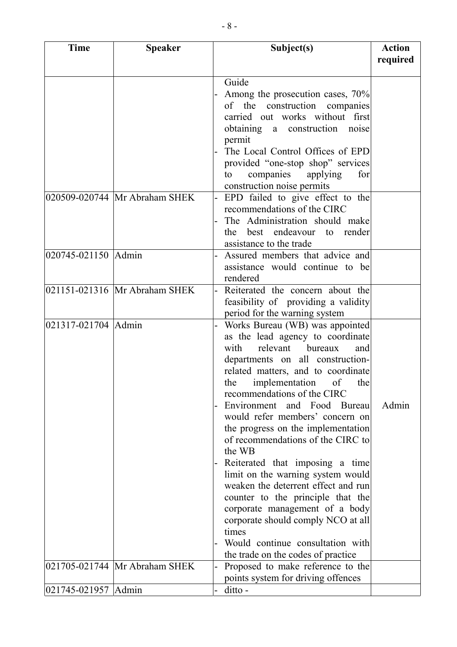| <b>Time</b>         | <b>Speaker</b>                | Subject(s)                                                 | <b>Action</b> |
|---------------------|-------------------------------|------------------------------------------------------------|---------------|
|                     |                               |                                                            | required      |
|                     |                               | Guide                                                      |               |
|                     |                               | Among the prosecution cases, 70%                           |               |
|                     |                               | of the construction companies                              |               |
|                     |                               | carried out works without first                            |               |
|                     |                               | obtaining a construction noise                             |               |
|                     |                               | permit                                                     |               |
|                     |                               | The Local Control Offices of EPD                           |               |
|                     |                               | provided "one-stop shop" services                          |               |
|                     |                               | for<br>companies<br>applying<br>to                         |               |
|                     |                               | construction noise permits                                 |               |
|                     | 020509-020744 Mr Abraham SHEK | EPD failed to give effect to the                           |               |
|                     |                               | recommendations of the CIRC                                |               |
|                     |                               | The Administration should make                             |               |
|                     |                               | best endeavour to render<br>the<br>assistance to the trade |               |
| 020745-021150 Admin |                               | Assured members that advice and                            |               |
|                     |                               | assistance would continue to be                            |               |
|                     |                               | rendered                                                   |               |
|                     | 021151-021316 Mr Abraham SHEK | Reiterated the concern about the                           |               |
|                     |                               | feasibility of providing a validity                        |               |
|                     |                               | period for the warning system                              |               |
| 021317-021704 Admin |                               | Works Bureau (WB) was appointed                            |               |
|                     |                               | as the lead agency to coordinate                           |               |
|                     |                               | relevant bureaux<br>with<br>and                            |               |
|                     |                               | departments on all construction-                           |               |
|                     |                               | related matters, and to coordinate                         |               |
|                     |                               | the implementation of the                                  |               |
|                     |                               | recommendations of the CIRC<br>Environment and Food Bureau | Admin         |
|                     |                               | would refer members' concern on                            |               |
|                     |                               | the progress on the implementation                         |               |
|                     |                               | of recommendations of the CIRC to                          |               |
|                     |                               | the WB                                                     |               |
|                     |                               | Reiterated that imposing a time                            |               |
|                     |                               | limit on the warning system would                          |               |
|                     |                               | weaken the deterrent effect and run                        |               |
|                     |                               | counter to the principle that the                          |               |
|                     |                               | corporate management of a body                             |               |
|                     |                               | corporate should comply NCO at all                         |               |
|                     |                               | times<br>Would continue consultation with                  |               |
|                     |                               | the trade on the codes of practice                         |               |
|                     | 021705-021744 Mr Abraham SHEK | Proposed to make reference to the                          |               |
|                     |                               | points system for driving offences                         |               |
| 021745-021957 Admin |                               | ditto -                                                    |               |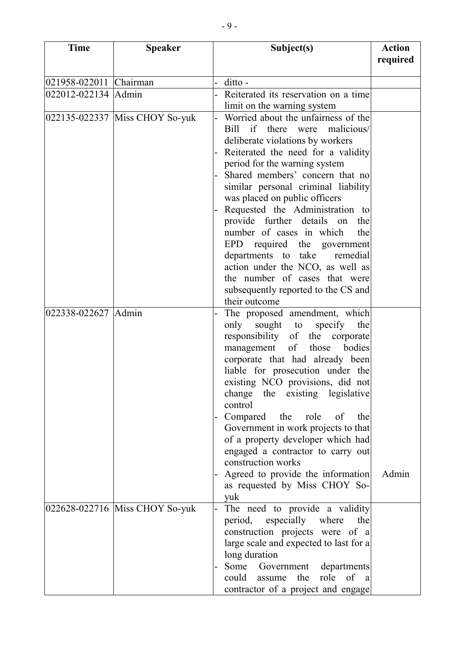| <b>Time</b>            | <b>Speaker</b>                 | Subject(s)                                                                                                                                                                                                                                                                                                                                                                                                                                                                                                                                                                                                 | <b>Action</b><br>required |
|------------------------|--------------------------------|------------------------------------------------------------------------------------------------------------------------------------------------------------------------------------------------------------------------------------------------------------------------------------------------------------------------------------------------------------------------------------------------------------------------------------------------------------------------------------------------------------------------------------------------------------------------------------------------------------|---------------------------|
| 021958-022011 Chairman |                                | ditto -                                                                                                                                                                                                                                                                                                                                                                                                                                                                                                                                                                                                    |                           |
| 022012-022134 Admin    |                                | Reiterated its reservation on a time<br>limit on the warning system                                                                                                                                                                                                                                                                                                                                                                                                                                                                                                                                        |                           |
|                        | 022135-022337 Miss CHOY So-yuk | Worried about the unfairness of the<br>if there were malicious/<br>Bill<br>deliberate violations by workers<br>Reiterated the need for a validity<br>period for the warning system<br>Shared members' concern that no<br>similar personal criminal liability<br>was placed on public officers<br>Requested the Administration to<br>provide further details<br>on<br>the<br>number of cases in which<br>the<br>EPD<br>required the government<br>departments to take remedial<br>action under the NCO, as well as<br>the number of cases that were<br>subsequently reported to the CS and<br>their outcome |                           |
| 022338-022627 Admin    |                                | The proposed amendment, which<br>only sought to<br>specify<br>the<br>responsibility of the corporate<br>management of those bodies<br>corporate that had already been<br>liable for prosecution under the<br>existing NCO provisions, did not<br>change the existing legislative<br>control<br>Compared the role of<br>the<br>Government in work projects to that<br>of a property developer which had<br>engaged a contractor to carry out<br>construction works<br>Agreed to provide the information<br>as requested by Miss CHOY So-<br>yuk                                                             | Admin                     |
|                        | 022628-022716 Miss CHOY So-yuk | The need to provide a validity<br>period, especially where<br>the<br>construction projects were of a<br>large scale and expected to last for a<br>long duration<br>Some Government departments<br>role of a<br>could<br>assume<br>the<br>contractor of a project and engage                                                                                                                                                                                                                                                                                                                                |                           |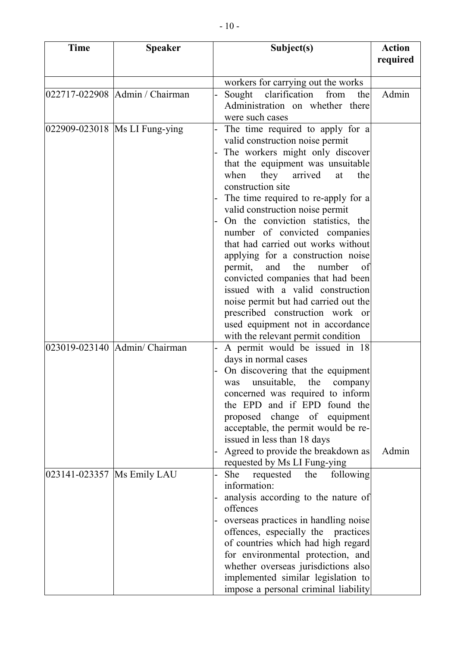| <b>Time</b>                  | <b>Speaker</b>                   | Subject(s)                                                                 | <b>Action</b> |
|------------------------------|----------------------------------|----------------------------------------------------------------------------|---------------|
|                              |                                  |                                                                            | required      |
|                              |                                  | workers for carrying out the works                                         |               |
|                              | 022717-022908   Admin / Chairman | clarification<br>Sought<br>from<br>the                                     | Admin         |
|                              |                                  | Administration on whether there                                            |               |
|                              |                                  | were such cases                                                            |               |
|                              | 022909-023018  Ms LI Fung-ying   | The time required to apply for a                                           |               |
|                              |                                  | valid construction noise permit                                            |               |
|                              |                                  | The workers might only discover<br>that the equipment was unsuitable       |               |
|                              |                                  | when<br>they arrived<br>at<br>the                                          |               |
|                              |                                  | construction site                                                          |               |
|                              |                                  | The time required to re-apply for a                                        |               |
|                              |                                  | valid construction noise permit                                            |               |
|                              |                                  | On the conviction statistics, the                                          |               |
|                              |                                  | number of convicted companies                                              |               |
|                              |                                  | that had carried out works without                                         |               |
|                              |                                  | applying for a construction noise                                          |               |
|                              |                                  | permit,<br>and<br>the<br>number<br>of<br>convicted companies that had been |               |
|                              |                                  | issued with a valid construction                                           |               |
|                              |                                  | noise permit but had carried out the                                       |               |
|                              |                                  | prescribed construction work or                                            |               |
|                              |                                  | used equipment not in accordance                                           |               |
|                              |                                  | with the relevant permit condition                                         |               |
|                              | 023019-023140 Admin/ Chairman    | A permit would be issued in 18                                             |               |
|                              |                                  | days in normal cases                                                       |               |
|                              |                                  | On discovering that the equipment                                          |               |
|                              |                                  | was unsuitable, the company                                                |               |
|                              |                                  | concerned was required to inform<br>the EPD and if EPD found the           |               |
|                              |                                  | proposed change of equipment                                               |               |
|                              |                                  | acceptable, the permit would be re-                                        |               |
|                              |                                  | issued in less than 18 days                                                |               |
|                              |                                  | Agreed to provide the breakdown as                                         | Admin         |
|                              |                                  | requested by Ms LI Fung-ying                                               |               |
| 023141-023357   Ms Emily LAU |                                  | She<br>requested<br>following<br>the                                       |               |
|                              |                                  | information:                                                               |               |
|                              |                                  | analysis according to the nature of                                        |               |
|                              |                                  | offences<br>overseas practices in handling noise                           |               |
|                              |                                  | offences, especially the practices                                         |               |
|                              |                                  | of countries which had high regard                                         |               |
|                              |                                  | for environmental protection, and                                          |               |
|                              |                                  | whether overseas jurisdictions also                                        |               |
|                              |                                  | implemented similar legislation to                                         |               |
|                              |                                  | impose a personal criminal liability                                       |               |